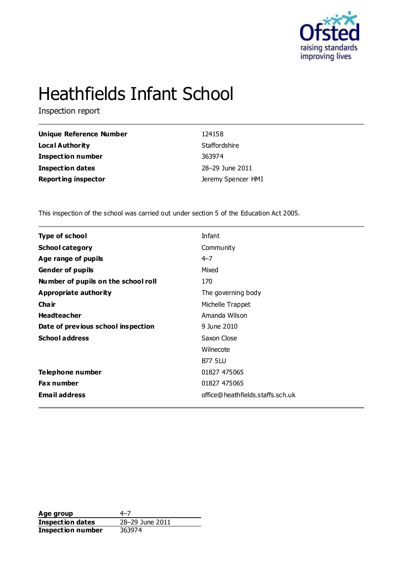

# Heathfields Infant School

Inspection report

| Unique Reference Number    | 124158             |
|----------------------------|--------------------|
| <b>Local Authority</b>     | Staffordshire      |
| <b>Inspection number</b>   | 363974             |
| <b>Inspection dates</b>    | 28-29 June 2011    |
| <b>Reporting inspector</b> | Jeremy Spencer HMI |

This inspection of the school was carried out under section 5 of the Education Act 2005.

| <b>Type of school</b>               | Infant                           |
|-------------------------------------|----------------------------------|
| <b>School category</b>              | Community                        |
| Age range of pupils                 | $4 - 7$                          |
| <b>Gender of pupils</b>             | Mixed                            |
| Number of pupils on the school roll | 170                              |
| Appropriate authority               | The governing body               |
| Cha ir                              | Michelle Trappet                 |
| <b>Headteacher</b>                  | Amanda Wilson                    |
| Date of previous school inspection  | 9 June 2010                      |
| <b>School address</b>               | Saxon Close                      |
|                                     | Wilnecote                        |
|                                     | <b>B77 5LU</b>                   |
| Telephone number                    | 01827 475065                     |
| <b>Fax number</b>                   | 01827 475065                     |
| <b>Email address</b>                | office@heathfields.staffs.sch.uk |
|                                     |                                  |

Age group<br> **Inspection dates** 28–29 June 2011 **Inspection dates** 28–29 June 2011 **Inspection number** 363974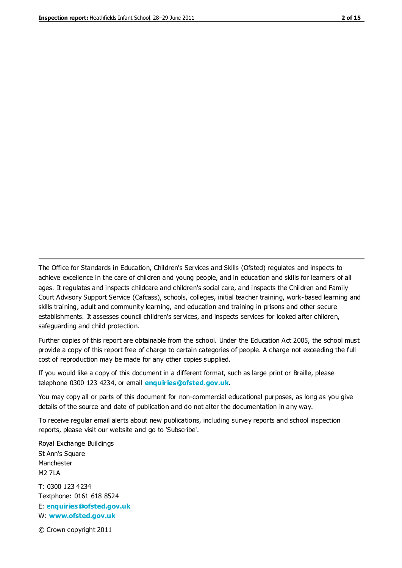The Office for Standards in Education, Children's Services and Skills (Ofsted) regulates and inspects to achieve excellence in the care of children and young people, and in education and skills for learners of all ages. It regulates and inspects childcare and children's social care, and inspects the Children and Family Court Advisory Support Service (Cafcass), schools, colleges, initial teacher training, work-based learning and skills training, adult and community learning, and education and training in prisons and other secure establishments. It assesses council children's services, and inspects services for looked after children, safeguarding and child protection.

Further copies of this report are obtainable from the school. Under the Education Act 2005, the school must provide a copy of this report free of charge to certain categories of people. A charge not exceeding the full cost of reproduction may be made for any other copies supplied.

If you would like a copy of this document in a different format, such as large print or Braille, please telephone 0300 123 4234, or email **[enquiries@ofsted.gov.uk](mailto:enquiries@ofsted.gov.uk)**.

You may copy all or parts of this document for non-commercial educational purposes, as long as you give details of the source and date of publication and do not alter the documentation in any way.

To receive regular email alerts about new publications, including survey reports and school inspection reports, please visit our website and go to 'Subscribe'.

Royal Exchange Buildings St Ann's Square Manchester M2 7LA T: 0300 123 4234 Textphone: 0161 618 8524 E: **[enquiries@ofsted.gov.uk](mailto:enquiries@ofsted.gov.uk)**

W: **[www.ofsted.gov.uk](http://www.ofsted.gov.uk/)**

© Crown copyright 2011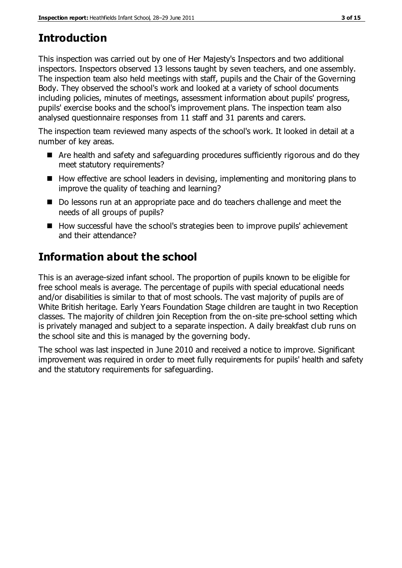## **Introduction**

This inspection was carried out by one of Her Majesty's Inspectors and two additional inspectors. Inspectors observed 13 lessons taught by seven teachers, and one assembly. The inspection team also held meetings with staff, pupils and the Chair of the Governing Body. They observed the school's work and looked at a variety of school documents including policies, minutes of meetings, assessment information about pupils' progress, pupils' exercise books and the school's improvement plans. The inspection team also analysed questionnaire responses from 11 staff and 31 parents and carers.

The inspection team reviewed many aspects of the school's work. It looked in detail at a number of key areas.

- Are health and safety and safeguarding procedures sufficiently rigorous and do they meet statutory requirements?
- $\blacksquare$  How effective are school leaders in devising, implementing and monitoring plans to improve the quality of teaching and learning?
- Do lessons run at an appropriate pace and do teachers challenge and meet the needs of all groups of pupils?
- How successful have the school's strategies been to improve pupils' achievement and their attendance?

## **Information about the school**

This is an average-sized infant school. The proportion of pupils known to be eligible for free school meals is average. The percentage of pupils with special educational needs and/or disabilities is similar to that of most schools. The vast majority of pupils are of White British heritage. Early Years Foundation Stage children are taught in two Reception classes. The majority of children join Reception from the on-site pre-school setting which is privately managed and subject to a separate inspection. A daily breakfast club runs on the school site and this is managed by the governing body.

The school was last inspected in June 2010 and received a notice to improve. Significant improvement was required in order to meet fully requirements for pupils' health and safety and the statutory requirements for safeguarding.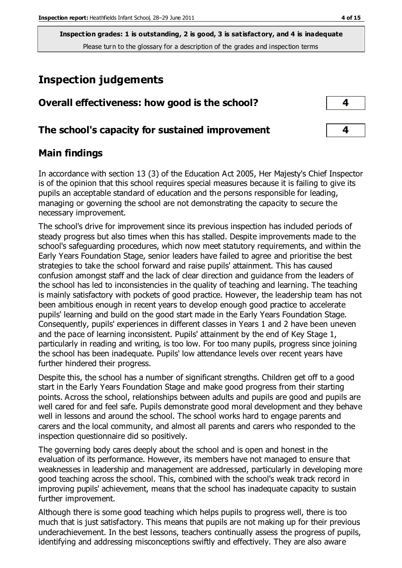## **Inspection judgements**

| Overall effectiveness: how good is the school?  |  |
|-------------------------------------------------|--|
| The school's capacity for sustained improvement |  |

### **Main findings**

In accordance with section 13 (3) of the Education Act 2005, Her Majesty's Chief Inspector is of the opinion that this school requires special measures because it is failing to give its pupils an acceptable standard of education and the persons responsible for leading, managing or governing the school are not demonstrating the capacity to secure the necessary improvement.

The school's drive for improvement since its previous inspection has included periods of steady progress but also times when this has stalled. Despite improvements made to the school's safeguarding procedures, which now meet statutory requirements, and within the Early Years Foundation Stage, senior leaders have failed to agree and prioritise the best strategies to take the school forward and raise pupils' attainment. This has caused confusion amongst staff and the lack of clear direction and guidance from the leaders of the school has led to inconsistencies in the quality of teaching and learning. The teaching is mainly satisfactory with pockets of good practice. However, the leadership team has not been ambitious enough in recent years to develop enough good practice to accelerate pupils' learning and build on the good start made in the Early Years Foundation Stage. Consequently, pupils' experiences in different classes in Years 1 and 2 have been uneven and the pace of learning inconsistent. Pupils' attainment by the end of Key Stage 1, particularly in reading and writing, is too low. For too many pupils, progress since joining the school has been inadequate. Pupils' low attendance levels over recent years have further hindered their progress.

Despite this, the school has a number of significant strengths. Children get off to a good start in the Early Years Foundation Stage and make good progress from their starting points. Across the school, relationships between adults and pupils are good and pupils are well cared for and feel safe. Pupils demonstrate good moral development and they behave well in lessons and around the school. The school works hard to engage parents and carers and the local community, and almost all parents and carers who responded to the inspection questionnaire did so positively.

The governing body cares deeply about the school and is open and honest in the evaluation of its performance. However, its members have not managed to ensure that weaknesses in leadership and management are addressed, particularly in developing more good teaching across the school. This, combined with the school's weak track record in improving pupils' achievement, means that the school has inadequate capacity to sustain further improvement.

Although there is some good teaching which helps pupils to progress well, there is too much that is just satisfactory. This means that pupils are not making up for their previous underachievement. In the best lessons, teachers continually assess the progress of pupils, identifying and addressing misconceptions swiftly and effectively. They are also aware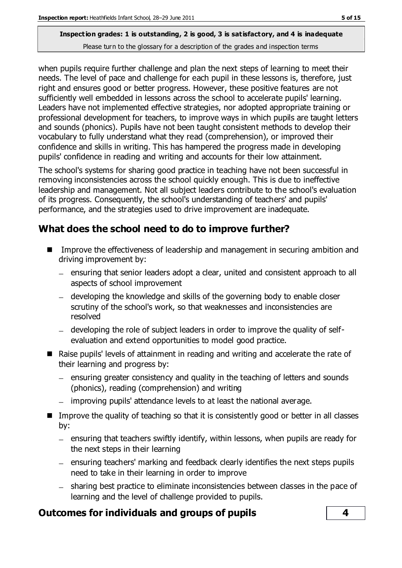when pupils require further challenge and plan the next steps of learning to meet their needs. The level of pace and challenge for each pupil in these lessons is, therefore, just right and ensures good or better progress. However, these positive features are not sufficiently well embedded in lessons across the school to accelerate pupils' learning. Leaders have not implemented effective strategies, nor adopted appropriate training or professional development for teachers, to improve ways in which pupils are taught letters and sounds (phonics). Pupils have not been taught consistent methods to develop their vocabulary to fully understand what they read (comprehension), or improved their confidence and skills in writing. This has hampered the progress made in developing pupils' confidence in reading and writing and accounts for their low attainment.

The school's systems for sharing good practice in teaching have not been successful in removing inconsistencies across the school quickly enough. This is due to ineffective leadership and management. Not all subject leaders contribute to the school's evaluation of its progress. Consequently, the school's understanding of teachers' and pupils' performance, and the strategies used to drive improvement are inadequate.

## **What does the school need to do to improve further?**

- Improve the effectiveness of leadership and management in securing ambition and driving improvement by:
	- ensuring that senior leaders adopt a clear, united and consistent approach to all aspects of school improvement
	- developing the knowledge and skills of the governing body to enable closer scrutiny of the school's work, so that weaknesses and inconsistencies are resolved
	- developing the role of subject leaders in order to improve the quality of selfevaluation and extend opportunities to model good practice.
- Raise pupils' levels of attainment in reading and writing and accelerate the rate of their learning and progress by:
	- $-$  ensuring greater consistency and quality in the teaching of letters and sounds (phonics), reading (comprehension) and writing
	- improving pupils' attendance levels to at least the national average.
- Improve the quality of teaching so that it is consistently good or better in all classes by:
	- $-$  ensuring that teachers swiftly identify, within lessons, when pupils are ready for the next steps in their learning
	- ensuring teachers' marking and feedback clearly identifies the next steps pupils need to take in their learning in order to improve
	- sharing best practice to eliminate inconsistencies between classes in the pace of learning and the level of challenge provided to pupils.

### **Outcomes for individuals and groups of pupils 4**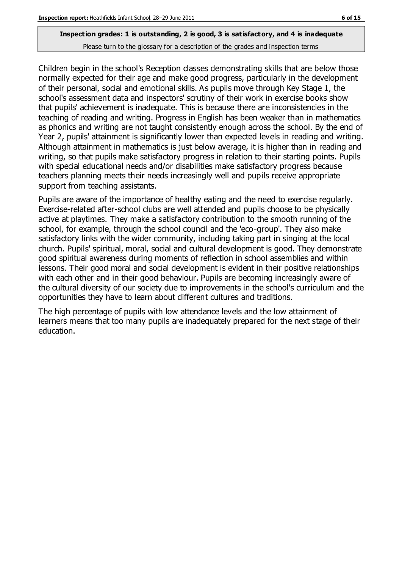Children begin in the school's Reception classes demonstrating skills that are below those normally expected for their age and make good progress, particularly in the development of their personal, social and emotional skills. As pupils move through Key Stage 1, the school's assessment data and inspectors' scrutiny of their work in exercise books show that pupils' achievement is inadequate. This is because there are inconsistencies in the teaching of reading and writing. Progress in English has been weaker than in mathematics as phonics and writing are not taught consistently enough across the school. By the end of Year 2, pupils' attainment is significantly lower than expected levels in reading and writing. Although attainment in mathematics is just below average, it is higher than in reading and writing, so that pupils make satisfactory progress in relation to their starting points. Pupils with special educational needs and/or disabilities make satisfactory progress because teachers planning meets their needs increasingly well and pupils receive appropriate support from teaching assistants.

Pupils are aware of the importance of healthy eating and the need to exercise regularly. Exercise-related after-school clubs are well attended and pupils choose to be physically active at playtimes. They make a satisfactory contribution to the smooth running of the school, for example, through the school council and the 'eco-group'. They also make satisfactory links with the wider community, including taking part in singing at the local church. Pupils' spiritual, moral, social and cultural development is good. They demonstrate good spiritual awareness during moments of reflection in school assemblies and within lessons. Their good moral and social development is evident in their positive relationships with each other and in their good behaviour. Pupils are becoming increasingly aware of the cultural diversity of our society due to improvements in the school's curriculum and the opportunities they have to learn about different cultures and traditions.

The high percentage of pupils with low attendance levels and the low attainment of learners means that too many pupils are inadequately prepared for the next stage of their education.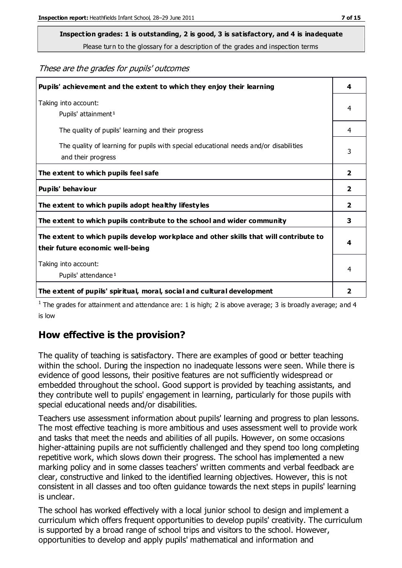# **Inspection grades: 1 is outstanding, 2 is good, 3 is satisfactory, and 4 is inadequate**

Please turn to the glossary for a description of the grades and inspection terms

#### These are the grades for pupils' outcomes

| Pupils' achievement and the extent to which they enjoy their learning                                                     | 4                       |
|---------------------------------------------------------------------------------------------------------------------------|-------------------------|
| Taking into account:<br>Pupils' attainment <sup>1</sup>                                                                   | 4                       |
| The quality of pupils' learning and their progress                                                                        | 4                       |
| The quality of learning for pupils with special educational needs and/or disabilities<br>and their progress               | 3                       |
| The extent to which pupils feel safe                                                                                      | $\overline{\mathbf{2}}$ |
| Pupils' behaviour                                                                                                         | 2                       |
| The extent to which pupils adopt healthy lifestyles                                                                       | 2                       |
| The extent to which pupils contribute to the school and wider community                                                   | 3                       |
| The extent to which pupils develop workplace and other skills that will contribute to<br>their future economic well-being | 4                       |
| Taking into account:<br>Pupils' attendance <sup>1</sup>                                                                   | 4                       |
| The extent of pupils' spiritual, moral, social and cultural development                                                   | $\overline{2}$          |

<sup>1</sup> The grades for attainment and attendance are: 1 is high; 2 is above average; 3 is broadly average; and 4 is low

### **How effective is the provision?**

The quality of teaching is satisfactory. There are examples of good or better teaching within the school. During the inspection no inadequate lessons were seen. While there is evidence of good lessons, their positive features are not sufficiently widespread or embedded throughout the school. Good support is provided by teaching assistants, and they contribute well to pupils' engagement in learning, particularly for those pupils with special educational needs and/or disabilities.

Teachers use assessment information about pupils' learning and progress to plan lessons. The most effective teaching is more ambitious and uses assessment well to provide work and tasks that meet the needs and abilities of all pupils. However, on some occasions higher-attaining pupils are not sufficiently challenged and they spend too long completing repetitive work, which slows down their progress. The school has implemented a new marking policy and in some classes teachers' written comments and verbal feedback are clear, constructive and linked to the identified learning objectives. However, this is not consistent in all classes and too often guidance towards the next steps in pupils' learning is unclear.

The school has worked effectively with a local junior school to design and implement a curriculum which offers frequent opportunities to develop pupils' creativity. The curriculum is supported by a broad range of school trips and visitors to the school. However, opportunities to develop and apply pupils' mathematical and information and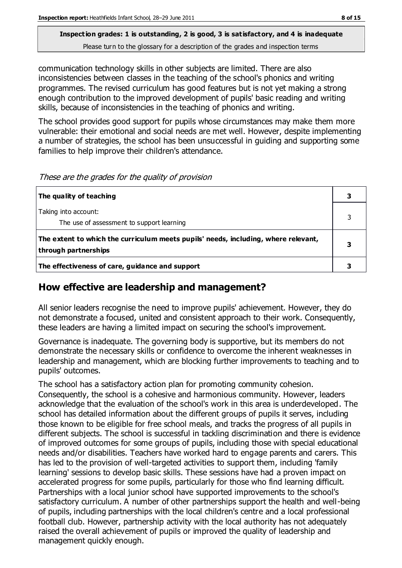## **Inspection grades: 1 is outstanding, 2 is good, 3 is satisfactory, and 4 is inadequate**

Please turn to the glossary for a description of the grades and inspection terms

communication technology skills in other subjects are limited. There are also inconsistencies between classes in the teaching of the school's phonics and writing programmes. The revised curriculum has good features but is not yet making a strong enough contribution to the improved development of pupils' basic reading and writing skills, because of inconsistencies in the teaching of phonics and writing.

The school provides good support for pupils whose circumstances may make them more vulnerable: their emotional and social needs are met well. However, despite implementing a number of strategies, the school has been unsuccessful in guiding and supporting some families to help improve their children's attendance.

| The quality of teaching                                                                                    |  |
|------------------------------------------------------------------------------------------------------------|--|
| Taking into account:<br>The use of assessment to support learning                                          |  |
| The extent to which the curriculum meets pupils' needs, including, where relevant,<br>through partnerships |  |
| The effectiveness of care, guidance and support                                                            |  |

These are the grades for the quality of provision

## **How effective are leadership and management?**

All senior leaders recognise the need to improve pupils' achievement. However, they do not demonstrate a focused, united and consistent approach to their work. Consequently, these leaders are having a limited impact on securing the school's improvement.

Governance is inadequate. The governing body is supportive, but its members do not demonstrate the necessary skills or confidence to overcome the inherent weaknesses in leadership and management, which are blocking further improvements to teaching and to pupils' outcomes.

The school has a satisfactory action plan for promoting community cohesion. Consequently, the school is a cohesive and harmonious community. However, leaders acknowledge that the evaluation of the school's work in this area is underdeveloped. The school has detailed information about the different groups of pupils it serves, including those known to be eligible for free school meals, and tracks the progress of all pupils in different subjects. The school is successful in tackling discrimination and there is evidence of improved outcomes for some groups of pupils, including those with special educational needs and/or disabilities. Teachers have worked hard to engage parents and carers. This has led to the provision of well-targeted activities to support them, including 'family learning' sessions to develop basic skills. These sessions have had a proven impact on accelerated progress for some pupils, particularly for those who find learning difficult. Partnerships with a local junior school have supported improvements to the school's satisfactory curriculum. A number of other partnerships support the health and well-being of pupils, including partnerships with the local children's centre and a local professional football club. However, partnership activity with the local authority has not adequately raised the overall achievement of pupils or improved the quality of leadership and management quickly enough.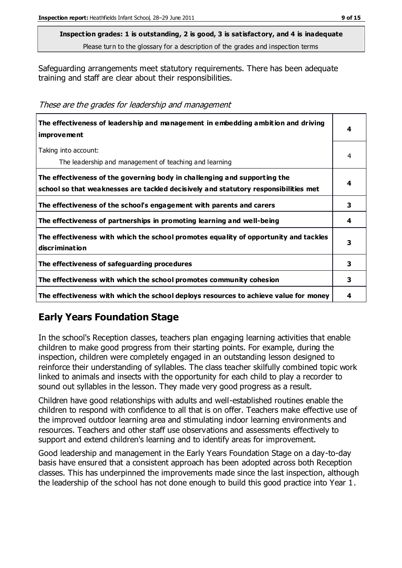Safeguarding arrangements meet statutory requirements. There has been adequate training and staff are clear about their responsibilities.

These are the grades for leadership and management

| The effectiveness of leadership and management in embedding ambition and driving<br>improvement                                                                  | 4 |
|------------------------------------------------------------------------------------------------------------------------------------------------------------------|---|
| Taking into account:<br>The leadership and management of teaching and learning                                                                                   | 4 |
| The effectiveness of the governing body in challenging and supporting the<br>school so that weaknesses are tackled decisively and statutory responsibilities met | 4 |
| The effectiveness of the school's engagement with parents and carers                                                                                             | 3 |
| The effectiveness of partnerships in promoting learning and well-being                                                                                           | 4 |
| The effectiveness with which the school promotes equality of opportunity and tackles<br>discrimination                                                           | 3 |
| The effectiveness of safeguarding procedures                                                                                                                     | 3 |
| The effectiveness with which the school promotes community cohesion                                                                                              | 3 |
| The effectiveness with which the school deploys resources to achieve value for money                                                                             | 4 |

## **Early Years Foundation Stage**

In the school's Reception classes, teachers plan engaging learning activities that enable children to make good progress from their starting points. For example, during the inspection, children were completely engaged in an outstanding lesson designed to reinforce their understanding of syllables. The class teacher skilfully combined topic work linked to animals and insects with the opportunity for each child to play a recorder to sound out syllables in the lesson. They made very good progress as a result.

Children have good relationships with adults and well-established routines enable the children to respond with confidence to all that is on offer. Teachers make effective use of the improved outdoor learning area and stimulating indoor learning environments and resources. Teachers and other staff use observations and assessments effectively to support and extend children's learning and to identify areas for improvement.

Good leadership and management in the Early Years Foundation Stage on a day-to-day basis have ensured that a consistent approach has been adopted across both Reception classes. This has underpinned the improvements made since the last inspection, although the leadership of the school has not done enough to build this good practice into Year 1.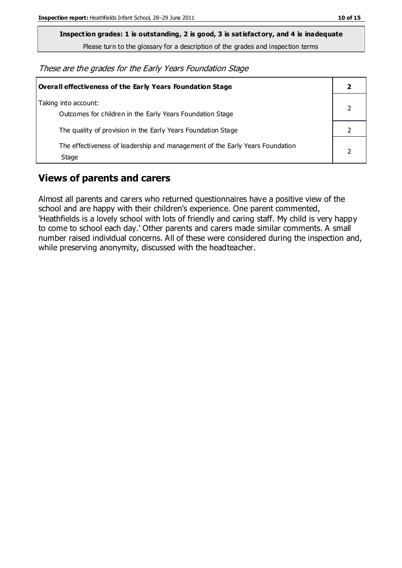**Inspection grades: 1 is outstanding, 2 is good, 3 is satisfactory, and 4 is inadequate**

Please turn to the glossary for a description of the grades and inspection terms

These are the grades for the Early Years Foundation Stage

| Overall effectiveness of the Early Years Foundation Stage                             |  |
|---------------------------------------------------------------------------------------|--|
| Taking into account:<br>Outcomes for children in the Early Years Foundation Stage     |  |
| The quality of provision in the Early Years Foundation Stage                          |  |
| The effectiveness of leadership and management of the Early Years Foundation<br>Stage |  |

### **Views of parents and carers**

Almost all parents and carers who returned questionnaires have a positive view of the school and are happy with their children's experience. One parent commented, 'Heathfields is a lovely school with lots of friendly and caring staff. My child is very happy to come to school each day.' Other parents and carers made similar comments. A small number raised individual concerns. All of these were considered during the inspection and, while preserving anonymity, discussed with the headteacher.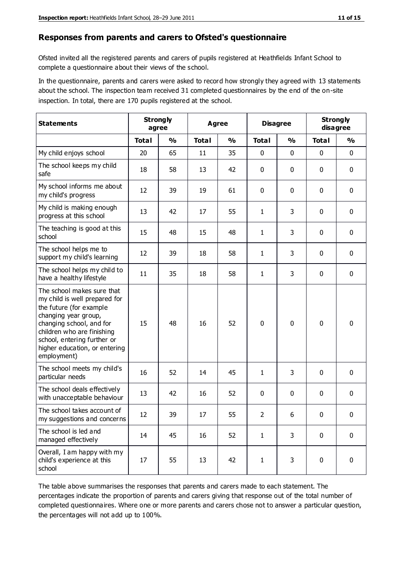#### **Responses from parents and carers to Ofsted's questionnaire**

Ofsted invited all the registered parents and carers of pupils registered at Heathfields Infant School to complete a questionnaire about their views of the school.

In the questionnaire, parents and carers were asked to record how strongly they agreed with 13 statements about the school. The inspection team received 31 completed questionnaires by the end of the on-site inspection. In total, there are 170 pupils registered at the school.

| <b>Statements</b>                                                                                                                                                                                                                                       |              | <b>Strongly</b><br><b>Agree</b><br>agree |              | <b>Disagree</b> |                | <b>Strongly</b><br>disagree |              |               |
|---------------------------------------------------------------------------------------------------------------------------------------------------------------------------------------------------------------------------------------------------------|--------------|------------------------------------------|--------------|-----------------|----------------|-----------------------------|--------------|---------------|
|                                                                                                                                                                                                                                                         | <b>Total</b> | $\frac{0}{0}$                            | <b>Total</b> | $\frac{0}{0}$   | <b>Total</b>   | $\frac{0}{0}$               | <b>Total</b> | $\frac{0}{0}$ |
| My child enjoys school                                                                                                                                                                                                                                  | 20           | 65                                       | 11           | 35              | 0              | $\mathbf 0$                 | 0            | $\mathbf 0$   |
| The school keeps my child<br>safe                                                                                                                                                                                                                       | 18           | 58                                       | 13           | 42              | 0              | $\mathbf 0$                 | 0            | $\pmb{0}$     |
| My school informs me about<br>my child's progress                                                                                                                                                                                                       | 12           | 39                                       | 19           | 61              | 0              | $\mathbf 0$                 | $\mathbf{0}$ | $\mathbf 0$   |
| My child is making enough<br>progress at this school                                                                                                                                                                                                    | 13           | 42                                       | 17           | 55              | $\mathbf{1}$   | 3                           | 0            | $\mathbf 0$   |
| The teaching is good at this<br>school                                                                                                                                                                                                                  | 15           | 48                                       | 15           | 48              | $\mathbf{1}$   | 3                           | 0            | $\mathbf 0$   |
| The school helps me to<br>support my child's learning                                                                                                                                                                                                   | 12           | 39                                       | 18           | 58              | $\mathbf{1}$   | 3                           | $\mathbf 0$  | $\mathbf 0$   |
| The school helps my child to<br>have a healthy lifestyle                                                                                                                                                                                                | 11           | 35                                       | 18           | 58              | $\mathbf{1}$   | 3                           | 0            | $\mathbf 0$   |
| The school makes sure that<br>my child is well prepared for<br>the future (for example<br>changing year group,<br>changing school, and for<br>children who are finishing<br>school, entering further or<br>higher education, or entering<br>employment) | 15           | 48                                       | 16           | 52              | $\mathbf 0$    | $\mathbf{0}$                | $\mathbf 0$  | $\mathbf 0$   |
| The school meets my child's<br>particular needs                                                                                                                                                                                                         | 16           | 52                                       | 14           | 45              | $\mathbf{1}$   | 3                           | $\mathbf{0}$ | $\mathbf 0$   |
| The school deals effectively<br>with unacceptable behaviour                                                                                                                                                                                             | 13           | 42                                       | 16           | 52              | 0              | 0                           | 0            | $\pmb{0}$     |
| The school takes account of<br>my suggestions and concerns                                                                                                                                                                                              | 12           | 39                                       | 17           | 55              | $\overline{2}$ | 6                           | 0            | 0             |
| The school is led and<br>managed effectively                                                                                                                                                                                                            | 14           | 45                                       | 16           | 52              | $\mathbf{1}$   | 3                           | $\mathbf 0$  | $\mathbf 0$   |
| Overall, I am happy with my<br>child's experience at this<br>school                                                                                                                                                                                     | 17           | 55                                       | 13           | 42              | $\mathbf{1}$   | 3                           | $\mathbf 0$  | $\pmb{0}$     |

The table above summarises the responses that parents and carers made to each statement. The percentages indicate the proportion of parents and carers giving that response out of the total number of completed questionnaires. Where one or more parents and carers chose not to answer a particular question, the percentages will not add up to 100%.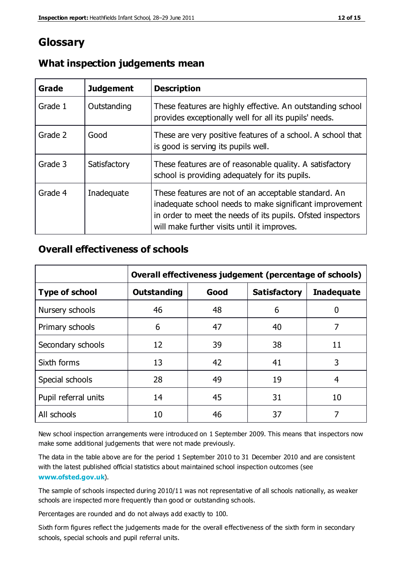## **Glossary**

| Grade   | <b>Judgement</b> | <b>Description</b>                                                                                                                                                                                                            |
|---------|------------------|-------------------------------------------------------------------------------------------------------------------------------------------------------------------------------------------------------------------------------|
| Grade 1 | Outstanding      | These features are highly effective. An outstanding school<br>provides exceptionally well for all its pupils' needs.                                                                                                          |
| Grade 2 | Good             | These are very positive features of a school. A school that<br>is good is serving its pupils well.                                                                                                                            |
| Grade 3 | Satisfactory     | These features are of reasonable quality. A satisfactory<br>school is providing adequately for its pupils.                                                                                                                    |
| Grade 4 | Inadequate       | These features are not of an acceptable standard. An<br>inadequate school needs to make significant improvement<br>in order to meet the needs of its pupils. Ofsted inspectors<br>will make further visits until it improves. |

#### **What inspection judgements mean**

#### **Overall effectiveness of schools**

|                       | Overall effectiveness judgement (percentage of schools) |      |                     |                   |
|-----------------------|---------------------------------------------------------|------|---------------------|-------------------|
| <b>Type of school</b> | <b>Outstanding</b>                                      | Good | <b>Satisfactory</b> | <b>Inadequate</b> |
| Nursery schools       | 46                                                      | 48   | 6                   |                   |
| Primary schools       | 6                                                       | 47   | 40                  | 7                 |
| Secondary schools     | 12                                                      | 39   | 38                  | 11                |
| Sixth forms           | 13                                                      | 42   | 41                  | 3                 |
| Special schools       | 28                                                      | 49   | 19                  | 4                 |
| Pupil referral units  | 14                                                      | 45   | 31                  | 10                |
| All schools           | 10                                                      | 46   | 37                  |                   |

New school inspection arrangements were introduced on 1 September 2009. This means that inspectors now make some additional judgements that were not made previously.

The data in the table above are for the period 1 September 2010 to 31 December 2010 and are consistent with the latest published official statistics about maintained school inspection outcomes (see **[www.ofsted.gov.uk](http://www.ofsted.gov.uk/)**).

The sample of schools inspected during 2010/11 was not representative of all schools nationally, as weaker schools are inspected more frequently than good or outstanding schools.

Percentages are rounded and do not always add exactly to 100.

Sixth form figures reflect the judgements made for the overall effectiveness of the sixth form in secondary schools, special schools and pupil referral units.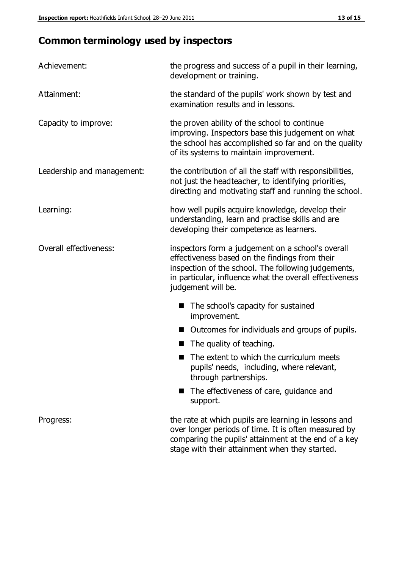## **Common terminology used by inspectors**

| Achievement:                  | the progress and success of a pupil in their learning,<br>development or training.                                                                                                                                                          |  |
|-------------------------------|---------------------------------------------------------------------------------------------------------------------------------------------------------------------------------------------------------------------------------------------|--|
| Attainment:                   | the standard of the pupils' work shown by test and<br>examination results and in lessons.                                                                                                                                                   |  |
| Capacity to improve:          | the proven ability of the school to continue<br>improving. Inspectors base this judgement on what<br>the school has accomplished so far and on the quality<br>of its systems to maintain improvement.                                       |  |
| Leadership and management:    | the contribution of all the staff with responsibilities,<br>not just the headteacher, to identifying priorities,<br>directing and motivating staff and running the school.                                                                  |  |
| Learning:                     | how well pupils acquire knowledge, develop their<br>understanding, learn and practise skills and are<br>developing their competence as learners.                                                                                            |  |
| <b>Overall effectiveness:</b> | inspectors form a judgement on a school's overall<br>effectiveness based on the findings from their<br>inspection of the school. The following judgements,<br>in particular, influence what the overall effectiveness<br>judgement will be. |  |
|                               | The school's capacity for sustained<br>improvement.                                                                                                                                                                                         |  |
|                               | Outcomes for individuals and groups of pupils.                                                                                                                                                                                              |  |
|                               | The quality of teaching.                                                                                                                                                                                                                    |  |
|                               | The extent to which the curriculum meets<br>pupils' needs, including, where relevant,<br>through partnerships.                                                                                                                              |  |
|                               | The effectiveness of care, guidance and<br>support.                                                                                                                                                                                         |  |
| Progress:                     | the rate at which pupils are learning in lessons and<br>over longer periods of time. It is often measured by<br>comparing the pupils' attainment at the end of a key                                                                        |  |

stage with their attainment when they started.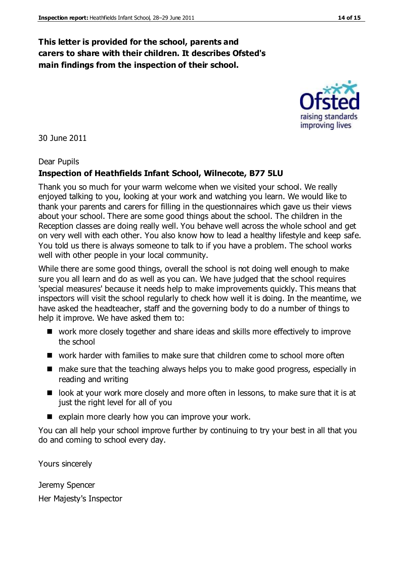#### **This letter is provided for the school, parents and carers to share with their children. It describes Ofsted's main findings from the inspection of their school.**

30 June 2011

#### Dear Pupils

#### **Inspection of Heathfields Infant School, Wilnecote, B77 5LU**

Thank you so much for your warm welcome when we visited your school. We really enjoyed talking to you, looking at your work and watching you learn. We would like to thank your parents and carers for filling in the questionnaires which gave us their views about your school. There are some good things about the school. The children in the Reception classes are doing really well. You behave well across the whole school and get on very well with each other. You also know how to lead a healthy lifestyle and keep safe. You told us there is always someone to talk to if you have a problem. The school works well with other people in your local community.

While there are some good things, overall the school is not doing well enough to make sure you all learn and do as well as you can. We have judged that the school requires 'special measures' because it needs help to make improvements quickly. This means that inspectors will visit the school regularly to check how well it is doing. In the meantime, we have asked the headteacher, staff and the governing body to do a number of things to help it improve. We have asked them to:

- work more closely together and share ideas and skills more effectively to improve the school
- work harder with families to make sure that children come to school more often
- make sure that the teaching always helps you to make good progress, especially in reading and writing
- look at your work more closely and more often in lessons, to make sure that it is at just the right level for all of you
- $\blacksquare$  explain more clearly how you can improve your work.

You can all help your school improve further by continuing to try your best in all that you do and coming to school every day.

Yours sincerely

Jeremy Spencer Her Majesty's Inspector